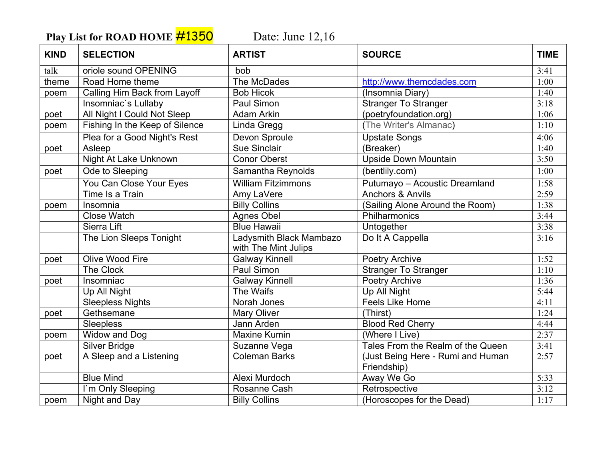Play List for ROAD HOME **#1350** Date: June 12,16

| <b>KIND</b> | <b>SELECTION</b>               | <b>ARTIST</b>                                   | <b>SOURCE</b>                                    | <b>TIME</b> |
|-------------|--------------------------------|-------------------------------------------------|--------------------------------------------------|-------------|
| talk        | oriole sound OPENING           | bob                                             |                                                  | 3:41        |
| theme       | Road Home theme                | The McDades                                     | http://www.themcdades.com                        | 1:00        |
| poem        | Calling Him Back from Layoff   | <b>Bob Hicok</b>                                | (Insomnia Diary)                                 | 1:40        |
|             | Insomniac's Lullaby            | Paul Simon                                      | <b>Stranger To Stranger</b>                      | 3:18        |
| poet        | All Night I Could Not Sleep    | <b>Adam Arkin</b>                               | (poetryfoundation.org)                           | 1:06        |
| poem        | Fishing In the Keep of Silence | Linda Gregg                                     | (The Writer's Almanac)                           | 1:10        |
|             | Plea for a Good Night's Rest   | Devon Sproule                                   | <b>Upstate Songs</b>                             | 4:06        |
| poet        | Asleep                         | <b>Sue Sinclair</b>                             | (Breaker)                                        | 1:40        |
|             | Night At Lake Unknown          | <b>Conor Oberst</b>                             | <b>Upside Down Mountain</b>                      | 3:50        |
| poet        | Ode to Sleeping                | Samantha Reynolds                               | (bentlily.com)                                   | 1:00        |
|             | You Can Close Your Eyes        | <b>William Fitzimmons</b>                       | Putumayo - Acoustic Dreamland                    | 1:58        |
|             | Time Is a Train                | Amy LaVere                                      | Anchors & Anvils                                 | 2:59        |
| poem        | Insomnia                       | <b>Billy Collins</b>                            | (Sailing Alone Around the Room)                  | 1:38        |
|             | <b>Close Watch</b>             | <b>Agnes Obel</b>                               | Philharmonics                                    | 3:44        |
|             | Sierra Lift                    | <b>Blue Hawaii</b>                              | Untogether                                       | 3:38        |
|             | The Lion Sleeps Tonight        | Ladysmith Black Mambazo<br>with The Mint Julips | Do It A Cappella                                 | 3:16        |
| poet        | Olive Wood Fire                | <b>Galway Kinnell</b>                           | <b>Poetry Archive</b>                            | 1:52        |
|             | The Clock                      | Paul Simon                                      | <b>Stranger To Stranger</b>                      | 1:10        |
| poet        | Insomniac                      | <b>Galway Kinnell</b>                           | Poetry Archive                                   | 1:36        |
|             | Up All Night                   | The Waifs                                       | Up All Night                                     | 5:44        |
|             | Sleepless Nights               | Norah Jones                                     | <b>Feels Like Home</b>                           | 4:11        |
| poet        | Gethsemane                     | <b>Mary Oliver</b>                              | (Thirst)                                         | 1:24        |
|             | Sleepless                      | Jann Arden                                      | <b>Blood Red Cherry</b>                          | 4:44        |
| poem        | Widow and Dog                  | <b>Maxine Kumin</b>                             | (Where I Live)                                   | 2:37        |
|             | Silver Bridge                  | Suzanne Vega                                    | Tales From the Realm of the Queen                | 3:41        |
| poet        | A Sleep and a Listening        | <b>Coleman Barks</b>                            | (Just Being Here - Rumi and Human<br>Friendship) | 2:57        |
|             | <b>Blue Mind</b>               | Alexi Murdoch                                   | Away We Go                                       | 5:33        |
|             | I'm Only Sleeping              | <b>Rosanne Cash</b>                             | Retrospective                                    | 3:12        |
| poem        | Night and Day                  | <b>Billy Collins</b>                            | (Horoscopes for the Dead)                        | 1:17        |